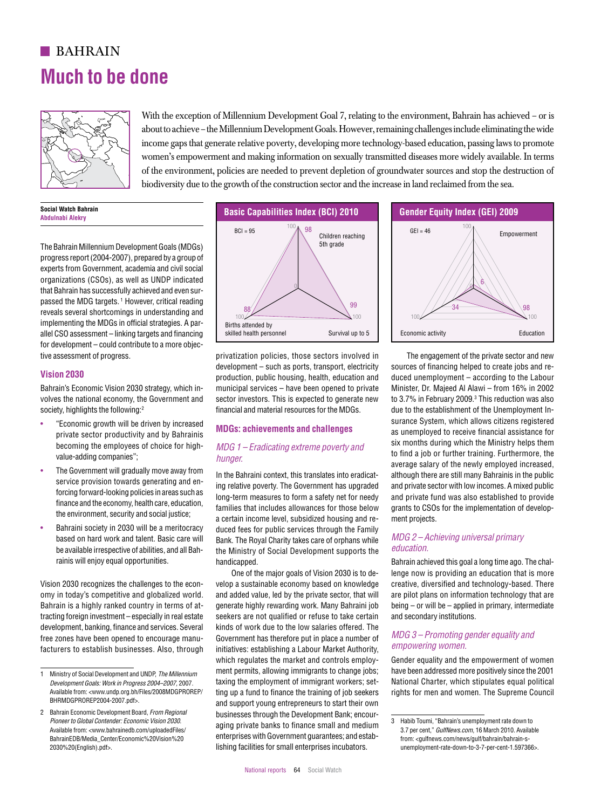# **BAHRAIN Much to be done**



With the exception of Millennium Development Goal 7, relating to the environment, Bahrain has achieved – or is about to achieve – the Millennium Development Goals. However, remaining challenges include eliminating the wide income gaps that generate relative poverty, developing more technology-based education, passing laws to promote women's empowerment and making information on sexually transmitted diseases more widely available. In terms of the environment, policies are needed to prevent depletion of groundwater sources and stop the destruction of  $\sim$ biodiversity due to the growth of the construction sector and the increase in land reclaimed from the sea.

#### **Social Watch Bahrain Abdulnabi Alekry**

The Bahrain Millennium Development Goals (MDGs) progress report (2004-2007), prepared by a group of experts from Government, academia and civil social organizations (CSOs), as well as UNDP indicated 6 that Bahrain has successfully achieved and even sur-0 passed the MDG targets.<sup>1</sup> However, critical reading reveals several shortcomings in understanding and  $\frac{88}{100}$ implementing the MDGs in official strategies. A parallel CSO assessment – linking targets and financing for development – could contribute to a more objective assessment of progress. ion development — could commute to a more object.<br>The access ment of progress of the unit of the privatization policies those sectors involved in the engagement of the private sector and new

 $\overline{\phantom{0}}$ 

## **Vision 2030**

Bahrain's Economic Vision 2030 strategy, which involves the national economy, the Government and society, highlights the following: $^2$ 

- "Economic growth will be driven by increased **BunCo: ophiquements and** private sector productivity and by Bahrainis becoming the employees of choice for highvalue-adding companies";
- The Government will gradually move away from service provision towards generating and enforcing forward-looking policies in areas such as such as ing relative finance and the economy, health care, education, the environment, security and social justice;
- Bahraini society in 2030 will be a meritocracy based on hard work and talent. Basic care will be available irrespective of abilities, and all Bahrainis will enjoy equal opportunities. based on hard work and talent. Basic care will  $Bank$ . The Royal Charity takes care of orphans while  $MDG$  2 – Achieving universal primary

Vision 2030 recognizes the challenges to the economy in today's competitive and globalized world.<br>-Bahrain is a highly ranked country in terms of at-Edinamic a mighty rannout seeming in terms of any systemator inging fortations in terms.<br>tracting foreign investment – especially in real estate seekers are not qualified or re development, banking, finance and services. Several free zones have been opened to encourage manufacturers to establish businesses. Also, through



privatization policies, those sectors involved in development – such as ports, transport, electricity production, public housing, health, education and municipal services – have been opened to private sector investors. This is expected to generate new financial and material resources for the MDGs.

## **MDGs: achievements and challenges**

## *MDG 1 – Eradicating extreme poverty and hunger.*

In the Bahraini context, this translates into eradicating relative poverty. The Government has upgraded king policies in areas such as long-term measures to form a safety net for needy families that includes allowances for those below a certain income level, subsidized housing and reduced fees for public services through the Family Bank. The Royal Charity takes care of orphans while the Ministry of Social Development supports the handicapped.

One of the major goals of Vision 2030 is to develop a sustainable economy based on knowledge and added value, led by the private sector, that will generate highly rewarding work. Many Bahraini job seekers are not qualified or refuse to take certain kinds of work due to the low salaries offered. The Government has therefore put in place a number of initiatives: establishing a Labour Market Authority, which regulates the market and controls employment permits, allowing immigrants to change jobs; tent and under, *the miliennium* and the employment of immigrant workers; set-<br>n Progress 2004–2007, 2007. Laxing the employment of immigrant workers; setting up a fund to finance the training of job seekers and support young entrepreneurs to start their own businesses through the Development Bank; encouraging private banks to finance small and medium enterprises with Government guarantees; and establishing facilities for small enterprises incubators. Pioneer to Global Contender: Economic Vision 2030.<br>Avgilable from: away behavioral popular local Elion (and a ging private banks to finance small and medium and a z per cent " Culfillows cam 16 Marsh 2010 Avgilable



The engagement of the private sector and new sources of financing helped to create jobs and reduced unemployment – according to the Labour Minister, Dr. Majeed Al Alawi – from 16% in 2002 to 3.7% in February 2009.<sup>3</sup> This reduction was also due to the establishment of the Unemployment Insurance System, which allows citizens registered as unemployed to receive financial assistance for six months during which the Ministry helps them to find a job or further training. Furthermore, the average salary of the newly employed increased, although there are still many Bahrainis in the public and private sector with low incomes. A mixed public and private fund was also established to provide grants to CSOs for the implementation of development projects.

## *MDG 2 – Achieving universal primary education.*

Bahrain achieved this goal a long time ago. The challenge now is providing an education that is more creative, diversified and technology-based. There are pilot plans on information technology that are being – or will be – applied in primary, intermediate and secondary institutions.

## *MDG 3 – Promoting gender equality and empowering women.*

Gender equality and the empowerment of women 0 have been addressed more positively since the 2001 Mational Charter, which stipulates equal political rights for men and women. The Supreme Council

<sup>1</sup> Ministry of Social Development and UNDP, *The Millennium Development Goals: Work in Progress 2004–2007,* 2007. Available from: <www.undp.org.bh/Files/2008MDGPROREP/ BHRMDGPROREP2004-2007.pdf>.  $\frac{8}{3}$  88  $\frac{8}{3}$  83  $\frac{8}{3}$  83  $\frac{8}{3}$  83  $\frac{8}{3}$  83  $\frac{8}{3}$  83  $\frac{8}{3}$  83  $\frac{8}{3}$  83  $\frac{8}{3}$  83  $\frac{8}{3}$  83  $\frac{8}{3}$  83  $\frac{8}{3}$  83  $\frac{8}{3}$  83  $\frac{8}{3}$  83  $\frac{8}{3}$  83  $\frac{8}{3}$  83  $\frac{8}{3}$  83

<sup>2</sup> Bahrain Economic Development Board, *From Regional Pioneer to Global Contender: Economic Vision 2030*. Available from: <www.bahrainedb.com/uploadedFiles/ BahrainEDB/Media\_Center/Economic%20Vision%20 2030%20(English).pdf>.

<sup>3</sup> Habib Toumi, "Bahrain's unemployment rate down to 3.7 per cent," *GulfNews.com*, 16 March 2010. Available from: <gulfnews.com/news/gulf/bahrain/bahrain-sunemployment-rate-down-to-3-7-per-cent-1.597366>.